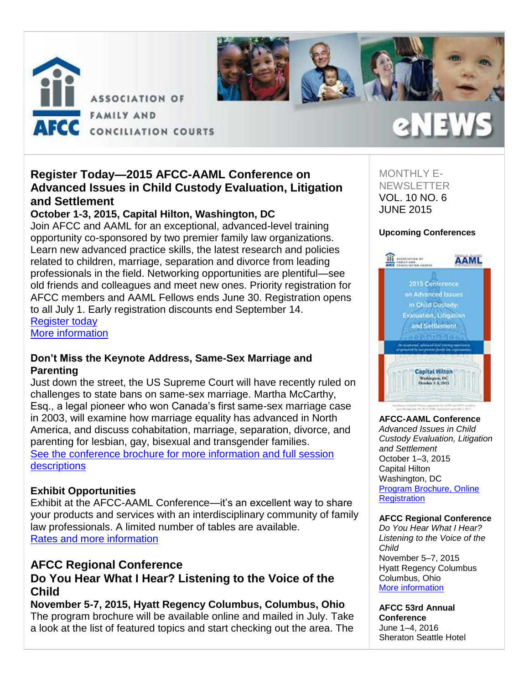



# **Register Today—2015 AFCC-AAML Conference on Advanced Issues in Child Custody Evaluation, Litigation and Settlement**

## **October 1-3, 2015, Capital Hilton, Washington, DC**

Join AFCC and AAML for an exceptional, advanced-level training opportunity co-sponsored by two premier family law organizations. Learn new advanced practice skills, the latest research and policies related to children, marriage, separation and divorce from leading professionals in the field. Networking opportunities are plentiful—see old friends and colleagues and meet new ones. Priority registration for AFCC members and AAML Fellows ends June 30. Registration opens to all July 1. Early registration discounts end September 14. [Register](http://afcc.networkats.com/members_online/utilities/emailct.asp?91e048df0472309ad8fd146cbaad65ab76e3893adeb2878968a3b9a63a62ca68c827a060b86805a7) today

[More information](http://afcc.networkats.com/members_online/utilities/emailct.asp?740df0881382fb885d448b8e0e42b5c6c0cbea49deb2878968a3b9a63a62ca68c827a060b86805a7)

## **Don't Miss the Keynote Address, Same-Sex Marriage and Parenting**

Just down the street, the US Supreme Court will have recently ruled on challenges to state bans on same-sex marriage. Martha McCarthy, Esq., a legal pioneer who won Canada's first same-sex marriage case in 2003, will examine how marriage equality has advanced in North America, and discuss cohabitation, marriage, separation, divorce, and parenting for lesbian, gay, bisexual and transgender families. [See the conference brochure for more information and full session](http://afcc.networkats.com/members_online/utilities/emailct.asp?7ed2d21e56645332d5fa4672fc1abf76ba126951deb2878968a3b9a63a62ca68c827a060b86805a7)  [descriptions](http://afcc.networkats.com/members_online/utilities/emailct.asp?7ed2d21e56645332d5fa4672fc1abf76ba126951deb2878968a3b9a63a62ca68c827a060b86805a7)

## **Exhibit Opportunities**

Exhibit at the AFCC-AAML Conference—it's an excellent way to share your products and services with an interdisciplinary community of family law professionals. A limited number of tables are available. [Rates and more information](http://afcc.networkats.com/members_online/utilities/emailct.asp?91b4a1f938880f198cac68dd2a626e9daaf277b9deb2878968a3b9a63a62ca68c827a060b86805a7)

# **AFCC Regional Conference Do You Hear What I Hear? Listening to the Voice of the Child**

**November 5-7, 2015, Hyatt Regency Columbus, Columbus, Ohio** The program brochure will be available online and mailed in July. Take a look at the list of featured topics and start checking out the area. The MONTHLY E-**NEWSLETTER** VOL. 10 NO. 6 JUNE 2015

2N E V

### **Upcoming Conferences**



### **AFCC-AAML Conference**

*Advanced Issues in Child Custody Evaluation, Litigation and Settlement* October 1–3, 2015 Capital Hilton Washington, DC [Program Brochure, Online](http://afcc.networkats.com/members_online/utilities/emailct.asp?740df0881382fb885d448b8e0e42b5c6c0cbea49deb2878968a3b9a63a62ca68c827a060b86805a7)  **Registration** 

### **AFCC Regional Conference**

*Do You Hear What I Hear? Listening to the Voice of the Child* November 5–7, 2015 Hyatt Regency Columbus Columbus, Ohio [More information](http://afcc.networkats.com/members_online/utilities/emailct.asp?36104881aa3dea929694bf8a159f22c4a8ed851adeb2878968a3b9a63a62ca68c827a060b86805a7) 

**AFCC 53rd Annual Conference** June 1–4, 2016 Sheraton Seattle Hotel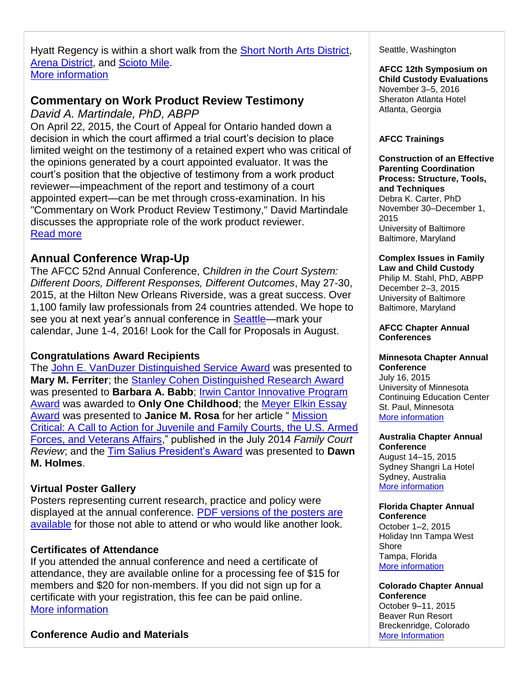Hyatt Regency is within a short walk from the **Short North Arts District**, [Arena District,](http://afcc.networkats.com/members_online/utilities/emailct.asp?38301308064a2f0f4ed5f06ab170b1d70d3f46cbdeb2878968a3b9a63a62ca68c827a060b86805a7) and [Scioto Mile.](http://afcc.networkats.com/members_online/utilities/emailct.asp?b4168cbc0df1084eff354cd4e483de8110fb16dfdeb2878968a3b9a63a62ca68c827a060b86805a7) [More information](http://afcc.networkats.com/members_online/utilities/emailct.asp?36104881aa3dea929694bf8a159f22c4a8ed851adeb2878968a3b9a63a62ca68c827a060b86805a7)

# **Commentary on Work Product Review Testimony**

*David A. Martindale, PhD, ABPP*

On April 22, 2015, the Court of Appeal for Ontario handed down a decision in which the court affirmed a trial court's decision to place limited weight on the testimony of a retained expert who was critical of the opinions generated by a court appointed evaluator. It was the court's position that the objective of testimony from a work product reviewer—impeachment of the report and testimony of a court appointed expert—can be met through cross-examination. In his "Commentary on Work Product Review Testimony," David Martindale discusses the appropriate role of the work product reviewer. [Read more](http://afcc.networkats.com/members_online/utilities/emailct.asp?3e33237b630d5d7a6085e05bd2387a83c934f297deb2878968a3b9a63a62ca68c827a060b86805a7)

# **Annual Conference Wrap-Up**

The AFCC 52nd Annual Conference, C*hildren in the Court System: Different Doors, Different Responses, Different Outcomes*, May 27-30, 2015, at the Hilton New Orleans Riverside, was a great success. Over 1,100 family law professionals from 24 countries attended. We hope to see you at next year's annual conference in [Seattle—](http://afcc.networkats.com/members_online/utilities/emailct.asp?80c13c150d25e1663ed417d8634646fde895108edeb2878968a3b9a63a62ca68c827a060b86805a7)mark your calendar, June 1-4, 2016! Look for the Call for Proposals in August.

## **Congratulations Award Recipients**

The [John E. VanDuzer Distinguished Service Award](http://afcc.networkats.com/members_online/utilities/emailct.asp?842f6f201b9637e1b4e33f267ec5102aed419ef8deb2878968a3b9a63a62ca68c827a060b86805a7) was presented to **Mary M. Ferriter**; the [Stanley Cohen Distinguished Research Award](http://afcc.networkats.com/members_online/utilities/emailct.asp?d8af9310bd14b57bb122748e3a88260a0084ba18deb2878968a3b9a63a62ca68c827a060b86805a7) was presented to **Barbara A. Babb**; [Irwin Cantor Innovative Program](http://afcc.networkats.com/members_online/utilities/emailct.asp?c5c0800b7f9d62663d5d17501f75da437fb7a9dadeb2878968a3b9a63a62ca68c827a060b86805a7)  [Award](http://afcc.networkats.com/members_online/utilities/emailct.asp?c5c0800b7f9d62663d5d17501f75da437fb7a9dadeb2878968a3b9a63a62ca68c827a060b86805a7) was awarded to **Only One Childhood**; the [Meyer Elkin Essay](http://afcc.networkats.com/members_online/utilities/emailct.asp?8e88d14c4e48a3d6128c3a56b32debb3d630ceb5deb2878968a3b9a63a62ca68c827a060b86805a7)  [Award](http://afcc.networkats.com/members_online/utilities/emailct.asp?8e88d14c4e48a3d6128c3a56b32debb3d630ceb5deb2878968a3b9a63a62ca68c827a060b86805a7) was presented to **Janice M. Rosa** for her article " [Mission](http://afcc.networkats.com/members_online/utilities/emailct.asp?74e9fc984054dc514e7d9d92231f7c9252e66fb3deb2878968a3b9a63a62ca68c827a060b86805a7)  [Critical: A Call to Action for Juvenile and Family Courts, the U.S. Armed](http://afcc.networkats.com/members_online/utilities/emailct.asp?74e9fc984054dc514e7d9d92231f7c9252e66fb3deb2878968a3b9a63a62ca68c827a060b86805a7)  [Forces, and Veterans Affairs,](http://afcc.networkats.com/members_online/utilities/emailct.asp?74e9fc984054dc514e7d9d92231f7c9252e66fb3deb2878968a3b9a63a62ca68c827a060b86805a7)" published in the July 2014 *Family Court Review*; and the [Tim Salius President's Award](http://afcc.networkats.com/members_online/utilities/emailct.asp?a3bbf9412a842b97a1371a6567930351bedc773ddeb2878968a3b9a63a62ca68c827a060b86805a7) was presented to **Dawn M. Holmes**.

# **Virtual Poster Gallery**

Posters representing current research, practice and policy were displayed at the annual conference. [PDF versions of the posters are](http://afcc.networkats.com/members_online/utilities/emailct.asp?722b45a922dc10ce1ce858ea5d2df970f7994503deb2878968a3b9a63a62ca68c827a060b86805a7)  [available](http://afcc.networkats.com/members_online/utilities/emailct.asp?722b45a922dc10ce1ce858ea5d2df970f7994503deb2878968a3b9a63a62ca68c827a060b86805a7) for those not able to attend or who would like another look.

# **Certificates of Attendance**

If you attended the annual conference and need a certificate of attendance, they are available online for a processing fee of \$15 for members and \$20 for non-members. If you did not sign up for a certificate with your registration, this fee can be paid online. [More information](http://afcc.networkats.com/members_online/utilities/emailct.asp?6ba7d7f293fc7fae783ac150f1f890ac83c70732deb2878968a3b9a63a62ca68c827a060b86805a7) 

## **Conference Audio and Materials**

Seattle, Washington

#### **AFCC 12th Symposium on Child Custody Evaluations** November 3–5, 2016 Sheraton Atlanta Hotel Atlanta, Georgia

### **AFCC Trainings**

**Construction of an Effective Parenting Coordination Process: Structure, Tools, and Techniques** Debra K. Carter, PhD November 30–December 1, 2015 University of Baltimore Baltimore, Maryland

## **Complex Issues in Family**

**Law and Child Custody**  Philip M. Stahl, PhD, ABPP December 2–3, 2015 University of Baltimore Baltimore, Maryland

#### **AFCC Chapter Annual Conferences**

#### **Minnesota Chapter Annual Conference**

July 16, 2015 University of Minnesota Continuing Education Center St. Paul, Minnesota [More information](http://afcc.networkats.com/members_online/utilities/emailct.asp?18b4ddfef7b92b34437ce26e90b0b2c509e0df35deb2878968a3b9a63a62ca68c827a060b86805a7) 

#### **Australia Chapter Annual Conference**

August 14–15, 2015 Sydney Shangri La Hotel Sydney, Australia [More information](http://afcc.networkats.com/members_online/utilities/emailct.asp?74056f286c85f38e44b177544a2769e54f6c4816deb2878968a3b9a63a62ca68c827a060b86805a7) 

# **Florida Chapter Annual**

**Conference**  October 1–2, 2015 Holiday Inn Tampa West **Shore** Tampa, Florida [More information](http://afcc.networkats.com/members_online/utilities/emailct.asp?999b5da196d1ec2231d7861da8c6c5665c0243bfdeb2878968a3b9a63a62ca68c827a060b86805a7) 

**Colorado Chapter Annual Conference**  October 9–11, 2015 Beaver Run Resort Breckenridge, Colorado [More Information](http://afcc.networkats.com/members_online/utilities/emailct.asp?d544379f14c9058e59851706e1c95d8b3d0ddb2bdeb2878968a3b9a63a62ca68c827a060b86805a7)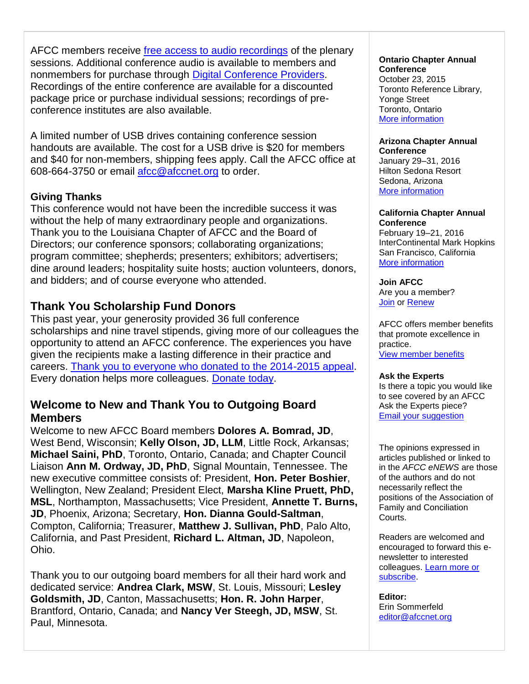AFCC members receive [free access to audio recordings](http://afcc.networkats.com/members_online/utilities/emailct.asp?6ba7d7f293fc7fae783ac150f1f890ac83c70732deb2878968a3b9a63a62ca68c827a060b86805a7) of the plenary sessions. Additional conference audio is available to members and nonmembers for purchase through [Digital Conference Providers.](http://afcc.networkats.com/members_online/utilities/emailct.asp?31cee38cd9f34fc801aef9a328f13708b6f8d68edeb2878968a3b9a63a62ca68c827a060b86805a7) Recordings of the entire conference are available for a discounted package price or purchase individual sessions; recordings of preconference institutes are also available.

A limited number of USB drives containing conference session handouts are available. The cost for a USB drive is \$20 for members and \$40 for non-members, shipping fees apply. Call the AFCC office at 608-664-3750 or email [afcc@afccnet.org](mailto:afcc@afccnet.org) to order.

## **Giving Thanks**

This conference would not have been the incredible success it was without the help of many extraordinary people and organizations. Thank you to the Louisiana Chapter of AFCC and the Board of Directors; our conference sponsors; collaborating organizations; program committee; shepherds; presenters; exhibitors; advertisers; dine around leaders; hospitality suite hosts; auction volunteers, donors, and bidders; and of course everyone who attended.

# **Thank You Scholarship Fund Donors**

This past year, your generosity provided 36 full conference scholarships and nine travel stipends, giving more of our colleagues the opportunity to attend an AFCC conference. The experiences you have given the recipients make a lasting difference in their practice and careers. [Thank you to everyone who donated to the 2014-2015 appeal.](http://afcc.networkats.com/members_online/utilities/emailct.asp?9907bd7029a19415db677fe8ae6a6ba4e21d64fddeb2878968a3b9a63a62ca68c827a060b86805a7) Every donation helps more colleagues. [Donate today.](http://afcc.networkats.com/members_online/utilities/emailct.asp?26ca5ed1b1436223a33cafbd4fa9938b758d45a8deb2878968a3b9a63a62ca68c827a060b86805a7)

# **Welcome to New and Thank You to Outgoing Board Members**

Welcome to new AFCC Board members **Dolores A. Bomrad, JD**, West Bend, Wisconsin; **Kelly Olson, JD, LLM**, Little Rock, Arkansas; **Michael Saini, PhD**, Toronto, Ontario, Canada; and Chapter Council Liaison **Ann M. Ordway, JD, PhD**, Signal Mountain, Tennessee. The new executive committee consists of: President, **Hon. Peter Boshier**, Wellington, New Zealand; President Elect, **Marsha Kline Pruett, PhD, MSL**, Northampton, Massachusetts; Vice President, **Annette T. Burns, JD**, Phoenix, Arizona; Secretary, **Hon. Dianna Gould-Saltman**, Compton, California; Treasurer, **Matthew J. Sullivan, PhD**, Palo Alto, California, and Past President, **Richard L. Altman, JD**, Napoleon, Ohio.

Thank you to our outgoing board members for all their hard work and dedicated service: **Andrea Clark, MSW**, St. Louis, Missouri; **Lesley Goldsmith, JD**, Canton, Massachusetts; **Hon. R. John Harper**, Brantford, Ontario, Canada; and **Nancy Ver Steegh, JD, MSW**, St. Paul, Minnesota.

#### **Ontario Chapter Annual Conference**

October 23, 2015 Toronto Reference Library, Yonge Street Toronto, Ontario [More information](http://afcc.networkats.com/members_online/utilities/emailct.asp?016a36e453139ead3af00eca6731b65c25341f4edeb2878968a3b9a63a62ca68c827a060b86805a7) 

#### **Arizona Chapter Annual Conference**

January 29–31, 2016 Hilton Sedona Resort Sedona, Arizona [More information](http://afcc.networkats.com/members_online/utilities/emailct.asp?0e72d1ef9ff9ea3366233ebe702a03df920cbc67deb2878968a3b9a63a62ca68c827a060b86805a7)

#### **California Chapter Annual Conference**

February 19–21, 2016 InterContinental Mark Hopkins San Francisco, California [More information](http://afcc.networkats.com/members_online/utilities/emailct.asp?bb1dc0bf363255518655a1911b9bae6ed9e1ec11deb2878968a3b9a63a62ca68c827a060b86805a7) 

### **Join AFCC**

Are you a member? [Join](http://afcc.networkats.com/members_online/utilities/emailct.asp?6e06e3682c7b718f37773d010358b20d527abce8deb2878968a3b9a63a62ca68c827a060b86805a7) or [Renew](http://afcc.networkats.com/members_online/utilities/emailct.asp?6f81559789657c194a0e2612824f3ddb084d6224deb2878968a3b9a63a62ca68c827a060b86805a7)

AFCC offers member benefits that promote excellence in practice. [View member benefits](http://afcc.networkats.com/members_online/utilities/emailct.asp?d8da9aef0ea8d607a426a6369f9d61657844f811deb2878968a3b9a63a62ca68c827a060b86805a7)

### **Ask the Experts**

Is there a topic you would like to see covered by an AFCC Ask the Experts piece? [Email your suggestion](mailto:editor@afccnet.org)

The opinions expressed in articles published or linked to in the *AFCC eNEWS* are those of the authors and do not necessarily reflect the positions of the Association of Family and Conciliation Courts.

Readers are welcomed and encouraged to forward this enewsletter to interested colleagues. [Learn more or](http://afcc.networkats.com/members_online/utilities/emailct.asp?0eb23a71441218ca024205e2b7a26f43b7982917deb2878968a3b9a63a62ca68c827a060b86805a7)  [subscribe.](http://afcc.networkats.com/members_online/utilities/emailct.asp?0eb23a71441218ca024205e2b7a26f43b7982917deb2878968a3b9a63a62ca68c827a060b86805a7)

**Editor:**  Erin Sommerfeld [editor@afccnet.org](mailto:editor@afccnet.org)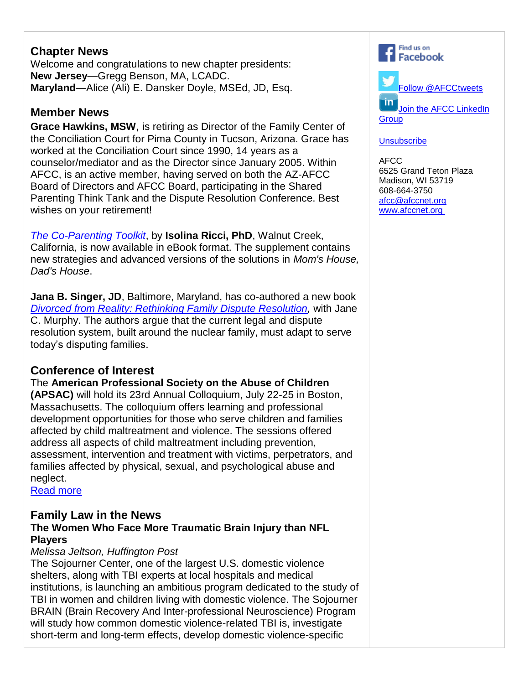# **Chapter News**

Welcome and congratulations to new chapter presidents: **New Jersey**—Gregg Benson, MA, LCADC. **Maryland**—Alice (Ali) E. Dansker Doyle, MSEd, JD, Esq.

# **Member News**

**Grace Hawkins, MSW**, is retiring as Director of the Family Center of the Conciliation Court for Pima County in Tucson, Arizona. Grace has worked at the Conciliation Court since 1990, 14 years as a counselor/mediator and as the Director since January 2005. Within AFCC, is an active member, having served on both the AZ-AFCC Board of Directors and AFCC Board, participating in the Shared Parenting Think Tank and the Dispute Resolution Conference. Best wishes on your retirement!

*[The Co-Parenting Toolkit](http://afcc.networkats.com/members_online/utilities/emailct.asp?3b0ca9c457f2cfc387520cb6f0145dbe05ec7865deb2878968a3b9a63a62ca68c827a060b86805a7)*, by **Isolina Ricci, PhD**, Walnut Creek, California, is now available in eBook format. The supplement contains new strategies and advanced versions of the solutions in *Mom's House, Dad's House*.

**Jana B. Singer, JD**, Baltimore, Maryland, has co-authored a new book *[Divorced from Reality: Rethinking Family Dispute Resolution,](http://afcc.networkats.com/members_online/utilities/emailct.asp?1bfd09375738369c3533af1ff715752b9d2342f0deb2878968a3b9a63a62ca68c827a060b86805a7)* with Jane C. Murphy. The authors argue that the current legal and dispute resolution system, built around the nuclear family, must adapt to serve today's disputing families.

# **Conference of Interest**

The **American Professional Society on the Abuse of Children** 

**(APSAC)** will hold its 23rd Annual Colloquium, July 22-25 in Boston, Massachusetts. The colloquium offers learning and professional development opportunities for those who serve children and families affected by child maltreatment and violence. The sessions offered address all aspects of child maltreatment including prevention, assessment, intervention and treatment with victims, perpetrators, and families affected by physical, sexual, and psychological abuse and neglect.

[Read more](http://afcc.networkats.com/members_online/utilities/emailct.asp?b823e036ef9df5f518a8bd3b71d26af869be4898deb2878968a3b9a63a62ca68c827a060b86805a7) 

## **Family Law in the News The Women Who Face More Traumatic Brain Injury than NFL Players**

# *Melissa Jeltson, Huffington Post*

The Sojourner Center, one of the largest U.S. domestic violence shelters, along with TBI experts at local hospitals and medical institutions, is launching an ambitious program dedicated to the study of TBI in women and children living with domestic violence. The Sojourner BRAIN (Brain Recovery And Inter-professional Neuroscience) Program will study how common domestic violence-related TBI is, investigate short-term and long-term effects, develop domestic violence-specific



[Follow @AFCCtweets](http://afcc.networkats.com/members_online/utilities/emailct.asp?fb70e6c8a5ce5bb79f1cfa7f07ae92fa52421a26deb2878968a3b9a63a62ca68c827a060b86805a7) īn Join the AFCC LinkedIn **[Group](http://afcc.networkats.com/members_online/utilities/emailct.asp?2fd8894a9f6cf6d0059ea84d54ec116f06b2ec81deb2878968a3b9a63a62ca68c827a060b86805a7)** 

## **[Unsubscribe](mailto:afcc@afccnet.org)**

AFCC 6525 Grand Teton Plaza Madison, WI 53719 608-664-3750 [afcc@afccnet.org](mailto:afcc@afccnet.org) [www.afccnet.org](http://afcc.networkats.com/members_online/utilities/emailct.asp?43c9ec4b3218c4a8c74724b92be6e8c535deaddfdeb2878968a3b9a63a62ca68c827a060b86805a7)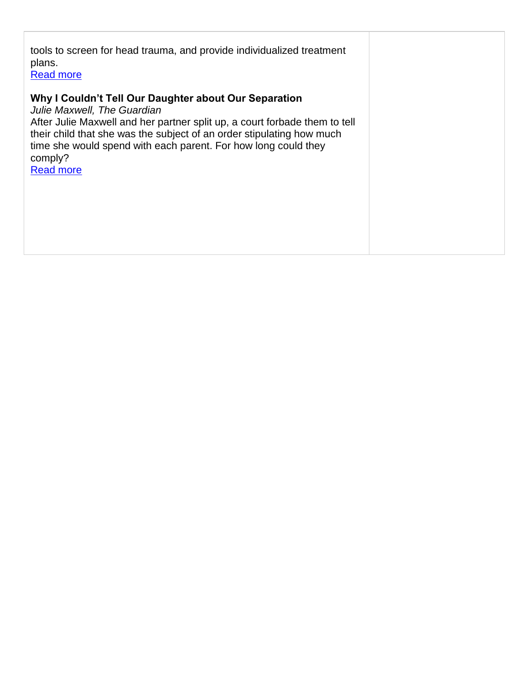| tools to screen for head trauma, and provide individualized treatment<br>plans.<br><b>Read more</b>                                                                                                                                                                                                                                          |  |
|----------------------------------------------------------------------------------------------------------------------------------------------------------------------------------------------------------------------------------------------------------------------------------------------------------------------------------------------|--|
| Why I Couldn't Tell Our Daughter about Our Separation<br>Julie Maxwell, The Guardian<br>After Julie Maxwell and her partner split up, a court forbade them to tell<br>their child that she was the subject of an order stipulating how much<br>time she would spend with each parent. For how long could they<br>comply?<br><b>Read more</b> |  |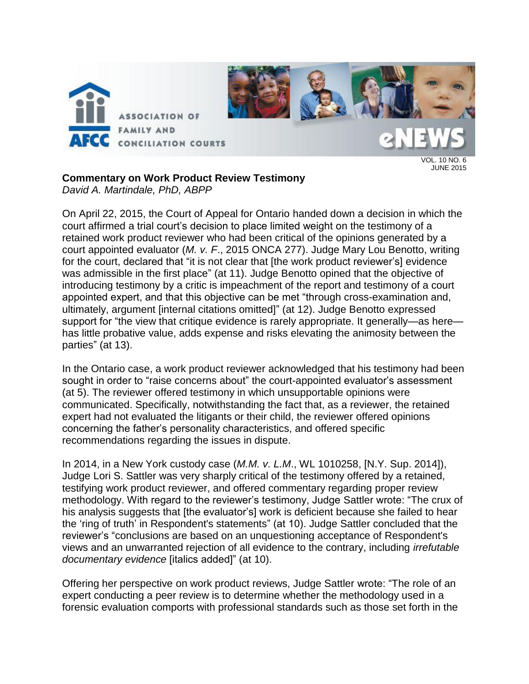

 $10 N<sub>0.6</sub>$ JUNE 2015

## **Commentary on Work Product Review Testimony**

*David A. Martindale, PhD, ABPP*

On April 22, 2015, the Court of Appeal for Ontario handed down a decision in which the court affirmed a trial court's decision to place limited weight on the testimony of a retained work product reviewer who had been critical of the opinions generated by a court appointed evaluator (*M. v. F*., 2015 ONCA 277). Judge Mary Lou Benotto, writing for the court, declared that "it is not clear that [the work product reviewer's] evidence was admissible in the first place" (at 11). Judge Benotto opined that the objective of introducing testimony by a critic is impeachment of the report and testimony of a court appointed expert, and that this objective can be met "through cross-examination and, ultimately, argument [internal citations omitted]" (at 12). Judge Benotto expressed support for "the view that critique evidence is rarely appropriate. It generally—as here has little probative value, adds expense and risks elevating the animosity between the parties" (at 13).

In the Ontario case, a work product reviewer acknowledged that his testimony had been sought in order to "raise concerns about" the court-appointed evaluator's assessment (at 5). The reviewer offered testimony in which unsupportable opinions were communicated. Specifically, notwithstanding the fact that, as a reviewer, the retained expert had not evaluated the litigants or their child, the reviewer offered opinions concerning the father's personality characteristics, and offered specific recommendations regarding the issues in dispute.

In 2014, in a New York custody case (*M.M. v. L.M*., WL 1010258, [N.Y. Sup. 2014]), Judge Lori S. Sattler was very sharply critical of the testimony offered by a retained, testifying work product reviewer, and offered commentary regarding proper review methodology. With regard to the reviewer's testimony, Judge Sattler wrote: "The crux of his analysis suggests that [the evaluator's] work is deficient because she failed to hear the 'ring of truth' in Respondent's statements" (at 10). Judge Sattler concluded that the reviewer's "conclusions are based on an unquestioning acceptance of Respondent's views and an unwarranted rejection of all evidence to the contrary, including *irrefutable documentary evidence* [italics added]" (at 10).

Offering her perspective on work product reviews, Judge Sattler wrote: "The role of an expert conducting a peer review is to determine whether the methodology used in a forensic evaluation comports with professional standards such as those set forth in the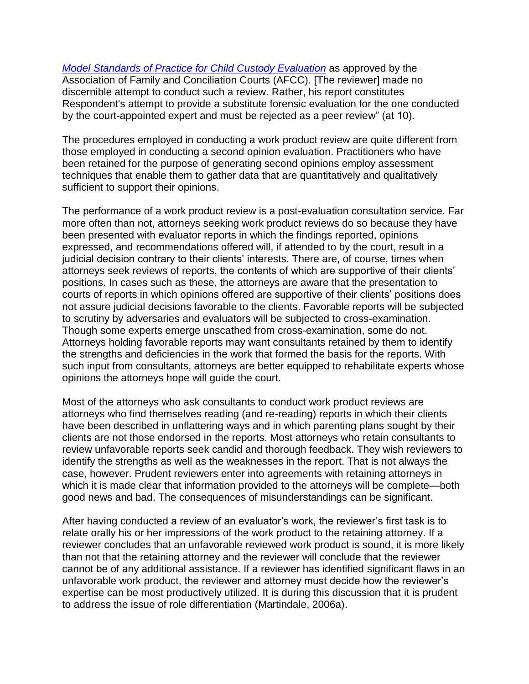*Model Standards [of Practice for Child Custody Evaluation](http://www.afccnet.org/Portals/0/ModelStdsChildCustodyEvalSept2006.pdf)* as approved by the Association of Family and Conciliation Courts (AFCC). [The reviewer] made no discernible attempt to conduct such a review. Rather, his report constitutes Respondent's attempt to provide a substitute forensic evaluation for the one conducted by the court-appointed expert and must be rejected as a peer review" (at 10).

The procedures employed in conducting a work product review are quite different from those employed in conducting a second opinion evaluation. Practitioners who have been retained for the purpose of generating second opinions employ assessment techniques that enable them to gather data that are quantitatively and qualitatively sufficient to support their opinions.

The performance of a work product review is a post-evaluation consultation service. Far more often than not, attorneys seeking work product reviews do so because they have been presented with evaluator reports in which the findings reported, opinions expressed, and recommendations offered will, if attended to by the court, result in a judicial decision contrary to their clients' interests. There are, of course, times when attorneys seek reviews of reports, the contents of which are supportive of their clients' positions. In cases such as these, the attorneys are aware that the presentation to courts of reports in which opinions offered are supportive of their clients' positions does not assure judicial decisions favorable to the clients. Favorable reports will be subjected to scrutiny by adversaries and evaluators will be subjected to cross-examination. Though some experts emerge unscathed from cross-examination, some do not. Attorneys holding favorable reports may want consultants retained by them to identify the strengths and deficiencies in the work that formed the basis for the reports. With such input from consultants, attorneys are better equipped to rehabilitate experts whose opinions the attorneys hope will guide the court.

Most of the attorneys who ask consultants to conduct work product reviews are attorneys who find themselves reading (and re-reading) reports in which their clients have been described in unflattering ways and in which parenting plans sought by their clients are not those endorsed in the reports. Most attorneys who retain consultants to review unfavorable reports seek candid and thorough feedback. They wish reviewers to identify the strengths as well as the weaknesses in the report. That is not always the case, however. Prudent reviewers enter into agreements with retaining attorneys in which it is made clear that information provided to the attorneys will be complete—both good news and bad. The consequences of misunderstandings can be significant.

After having conducted a review of an evaluator's work, the reviewer's first task is to relate orally his or her impressions of the work product to the retaining attorney. If a reviewer concludes that an unfavorable reviewed work product is sound, it is more likely than not that the retaining attorney and the reviewer will conclude that the reviewer cannot be of any additional assistance. If a reviewer has identified significant flaws in an unfavorable work product, the reviewer and attorney must decide how the reviewer's expertise can be most productively utilized. It is during this discussion that it is prudent to address the issue of role differentiation (Martindale, 2006a).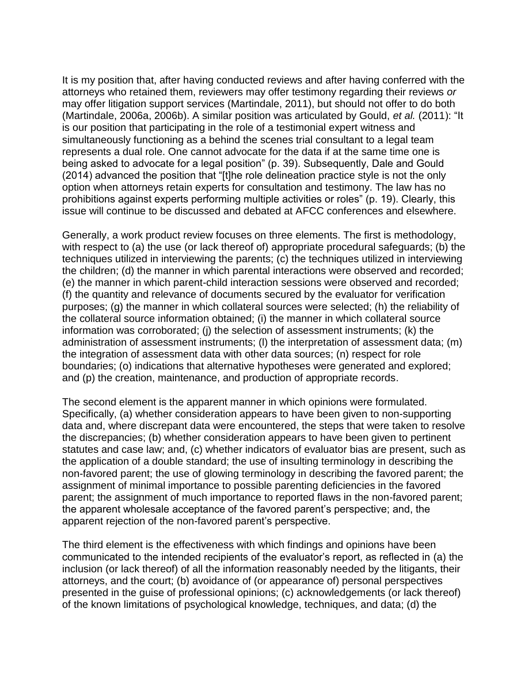It is my position that, after having conducted reviews and after having conferred with the attorneys who retained them, reviewers may offer testimony regarding their reviews *or* may offer litigation support services (Martindale, 2011), but should not offer to do both (Martindale, 2006a, 2006b). A similar position was articulated by Gould, *et al.* (2011): "It is our position that participating in the role of a testimonial expert witness and simultaneously functioning as a behind the scenes trial consultant to a legal team represents a dual role. One cannot advocate for the data if at the same time one is being asked to advocate for a legal position" (p. 39). Subsequently, Dale and Gould (2014) advanced the position that "[t]he role delineation practice style is not the only option when attorneys retain experts for consultation and testimony. The law has no prohibitions against experts performing multiple activities or roles" (p. 19). Clearly, this issue will continue to be discussed and debated at AFCC conferences and elsewhere.

Generally, a work product review focuses on three elements. The first is methodology, with respect to (a) the use (or lack thereof of) appropriate procedural safeguards; (b) the techniques utilized in interviewing the parents; (c) the techniques utilized in interviewing the children; (d) the manner in which parental interactions were observed and recorded; (e) the manner in which parent-child interaction sessions were observed and recorded; (f) the quantity and relevance of documents secured by the evaluator for verification purposes; (g) the manner in which collateral sources were selected; (h) the reliability of the collateral source information obtained; (i) the manner in which collateral source information was corroborated; (j) the selection of assessment instruments; (k) the administration of assessment instruments; (l) the interpretation of assessment data; (m) the integration of assessment data with other data sources; (n) respect for role boundaries; (o) indications that alternative hypotheses were generated and explored; and (p) the creation, maintenance, and production of appropriate records.

The second element is the apparent manner in which opinions were formulated. Specifically, (a) whether consideration appears to have been given to non-supporting data and, where discrepant data were encountered, the steps that were taken to resolve the discrepancies; (b) whether consideration appears to have been given to pertinent statutes and case law; and, (c) whether indicators of evaluator bias are present, such as the application of a double standard; the use of insulting terminology in describing the non-favored parent; the use of glowing terminology in describing the favored parent; the assignment of minimal importance to possible parenting deficiencies in the favored parent; the assignment of much importance to reported flaws in the non-favored parent; the apparent wholesale acceptance of the favored parent's perspective; and, the apparent rejection of the non-favored parent's perspective.

The third element is the effectiveness with which findings and opinions have been communicated to the intended recipients of the evaluator's report, as reflected in (a) the inclusion (or lack thereof) of all the information reasonably needed by the litigants, their attorneys, and the court; (b) avoidance of (or appearance of) personal perspectives presented in the guise of professional opinions; (c) acknowledgements (or lack thereof) of the known limitations of psychological knowledge, techniques, and data; (d) the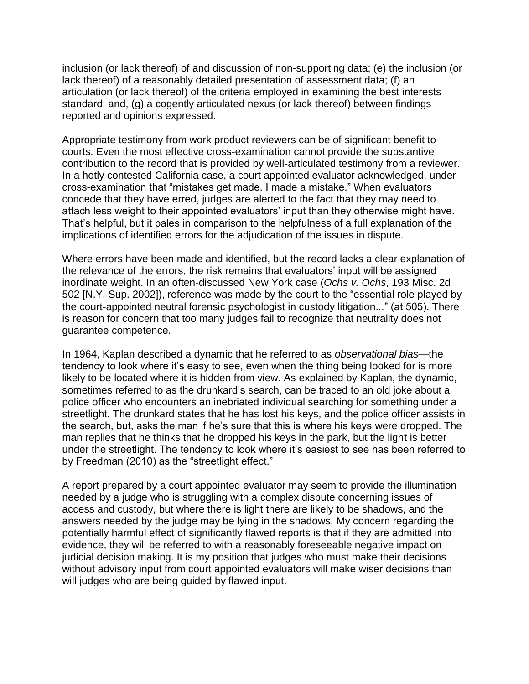inclusion (or lack thereof) of and discussion of non-supporting data; (e) the inclusion (or lack thereof) of a reasonably detailed presentation of assessment data; (f) an articulation (or lack thereof) of the criteria employed in examining the best interests standard; and, (g) a cogently articulated nexus (or lack thereof) between findings reported and opinions expressed.

Appropriate testimony from work product reviewers can be of significant benefit to courts. Even the most effective cross-examination cannot provide the substantive contribution to the record that is provided by well-articulated testimony from a reviewer. In a hotly contested California case, a court appointed evaluator acknowledged, under cross-examination that "mistakes get made. I made a mistake." When evaluators concede that they have erred, judges are alerted to the fact that they may need to attach less weight to their appointed evaluators' input than they otherwise might have. That's helpful, but it pales in comparison to the helpfulness of a full explanation of the implications of identified errors for the adjudication of the issues in dispute.

Where errors have been made and identified, but the record lacks a clear explanation of the relevance of the errors, the risk remains that evaluators' input will be assigned inordinate weight. In an often-discussed New York case (*Ochs v. Ochs*, 193 Misc. 2d 502 [N.Y. Sup. 2002]), reference was made by the court to the "essential role played by the court-appointed neutral forensic psychologist in custody litigation..." (at 505). There is reason for concern that too many judges fail to recognize that neutrality does not guarantee competence.

In 1964, Kaplan described a dynamic that he referred to as *observational bias—*the tendency to look where it's easy to see, even when the thing being looked for is more likely to be located where it is hidden from view. As explained by Kaplan, the dynamic, sometimes referred to as the drunkard's search, can be traced to an old joke about a police officer who encounters an inebriated individual searching for something under a streetlight. The drunkard states that he has lost his keys, and the police officer assists in the search, but, asks the man if he's sure that this is where his keys were dropped. The man replies that he thinks that he dropped his keys in the park, but the light is better under the streetlight. The tendency to look where it's easiest to see has been referred to by Freedman (2010) as the "streetlight effect."

A report prepared by a court appointed evaluator may seem to provide the illumination needed by a judge who is struggling with a complex dispute concerning issues of access and custody, but where there is light there are likely to be shadows, and the answers needed by the judge may be lying in the shadows. My concern regarding the potentially harmful effect of significantly flawed reports is that if they are admitted into evidence, they will be referred to with a reasonably foreseeable negative impact on judicial decision making. It is my position that judges who must make their decisions without advisory input from court appointed evaluators will make wiser decisions than will judges who are being guided by flawed input.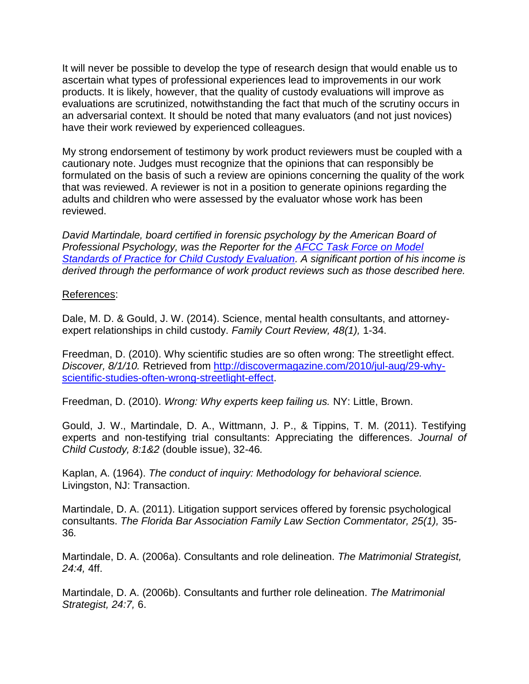It will never be possible to develop the type of research design that would enable us to ascertain what types of professional experiences lead to improvements in our work products. It is likely, however, that the quality of custody evaluations will improve as evaluations are scrutinized, notwithstanding the fact that much of the scrutiny occurs in an adversarial context. It should be noted that many evaluators (and not just novices) have their work reviewed by experienced colleagues.

My strong endorsement of testimony by work product reviewers must be coupled with a cautionary note. Judges must recognize that the opinions that can responsibly be formulated on the basis of such a review are opinions concerning the quality of the work that was reviewed. A reviewer is not in a position to generate opinions regarding the adults and children who were assessed by the evaluator whose work has been reviewed.

*David Martindale, board certified in forensic psychology by the American Board of Professional Psychology, was the Reporter for the [AFCC Task Force on Model](http://www.afccnet.org/Resource-Center/Center-for-Excellence-in-Family-Court-Practice/ctl/ViewCommittee/CommitteeID/22/mid/495)  [Standards of Practice for Child Custody Evaluation.](http://www.afccnet.org/Resource-Center/Center-for-Excellence-in-Family-Court-Practice/ctl/ViewCommittee/CommitteeID/22/mid/495) A significant portion of his income is derived through the performance of work product reviews such as those described here.*

References:

Dale, M. D. & Gould, J. W. (2014). Science, mental health consultants, and attorneyexpert relationships in child custody. *Family Court Review, 48(1),* 1-34.

Freedman, D. (2010). Why scientific studies are so often wrong: The streetlight effect. *Discover, 8/1/10.* Retrieved from [http://discovermagazine.com/2010/jul-aug/29-why](http://discovermagazine.com/2010/jul-aug/29-why-scientific-studies-often-wrong-streetlight-effect)[scientific-studies-often-wrong-streetlight-effect.](http://discovermagazine.com/2010/jul-aug/29-why-scientific-studies-often-wrong-streetlight-effect)

Freedman, D. (2010). *Wrong: Why experts keep failing us.* NY: Little, Brown.

Gould, J. W., Martindale, D. A., Wittmann, J. P., & Tippins, T. M. (2011). Testifying experts and non-testifying trial consultants: Appreciating the differences. *Journal of Child Custody, 8:1&2* (double issue), 32-46*.*

Kaplan, A. (1964). *The conduct of inquiry: Methodology for behavioral science.*  Livingston, NJ: Transaction.

Martindale, D. A. (2011). Litigation support services offered by forensic psychological consultants. *The Florida Bar Association Family Law Section Commentator, 25(1),* 35- 36*.*

Martindale, D. A. (2006a). Consultants and role delineation. *The Matrimonial Strategist, 24:4,* 4ff.

Martindale, D. A. (2006b). Consultants and further role delineation. *The Matrimonial Strategist, 24:7,* 6.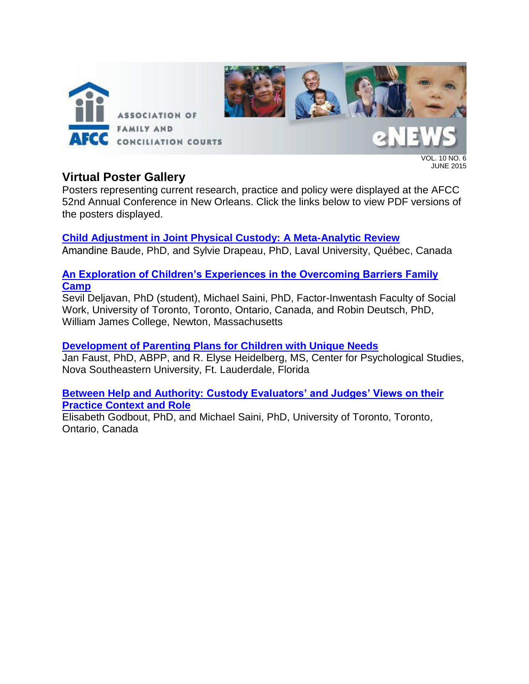

VOL. 10 NO. 6 JUNE 2015

# **Virtual Poster Gallery**

Posters representing current research, practice and policy were displayed at the AFCC 52nd Annual Conference in New Orleans. Click the links below to view PDF versions of the posters displayed.

**[Child Adjustment in Joint Physical](https://afcc.networkats.com/uploads/ES/2015/06%20June/Child_adjustment_in_joint_physical_custody.pdf) Custody: A Meta-Analytic Review** Amandine Baude, PhD, and Sylvie Drapeau, PhD, Laval University, Québec, Canada

## **[An Exploration of Children's Experiences in the Overcoming Barriers Family](https://afcc.networkats.com/uploads/ES/2015/06%20June/An_Exploration_of_Childrens_Experiences_in_the_Overcoming_Barriers_Family_Camp.pdf)  [Camp](https://afcc.networkats.com/uploads/ES/2015/06%20June/An_Exploration_of_Childrens_Experiences_in_the_Overcoming_Barriers_Family_Camp.pdf)**

Sevil Deljavan, PhD (student), Michael Saini, PhD, Factor-Inwentash Faculty of Social Work, University of Toronto, Toronto, Ontario, Canada, and Robin Deutsch, PhD, William James College, Newton, Massachusetts

## **[Development of Parenting Plans for Children with Unique Needs](https://afcc.networkats.com/uploads/ES/2015/06%20June/Developing_of_Parenting_Plans_for_Children_with_Unique_Needs.pdf)**

Jan Faust, PhD, ABPP, and R. Elyse Heidelberg, MS, Center for Psychological Studies, Nova Southeastern University, Ft. Lauderdale, Florida

## **Between Help and Authority: [Custody Evaluators' and Judges' Views on their](https://afcc.networkats.com/uploads/ES/2015/06%20June/Between_Help_and_Authority.pdf)  [Practice Context and Role](https://afcc.networkats.com/uploads/ES/2015/06%20June/Between_Help_and_Authority.pdf)**

Elisabeth Godbout, PhD, and Michael Saini, PhD, University of Toronto, Toronto, Ontario, Canada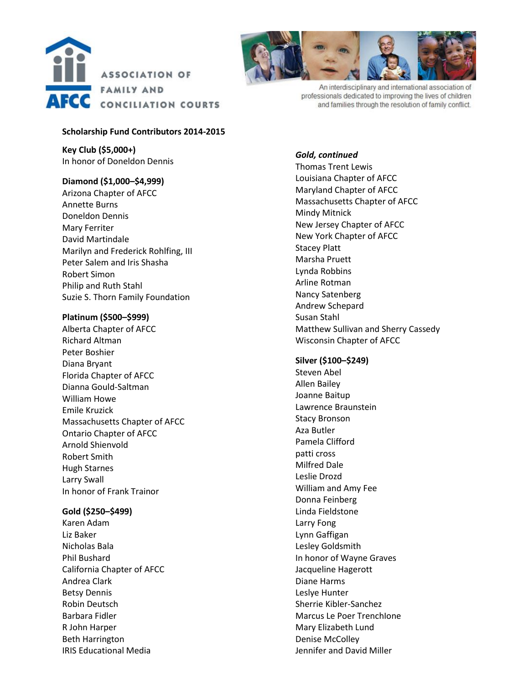



An interdisciplinary and international association of professionals dedicated to improving the lives of children and families through the resolution of family conflict.

#### **Scholarship Fund Contributors 2014-2015**

**Key Club (\$5,000+)** In honor of Doneldon Dennis

#### **Diamond (\$1,000–\$4,999)**

Arizona Chapter of AFCC Annette Burns Doneldon Dennis Mary Ferriter David Martindale Marilyn and Frederick Rohlfing, III Peter Salem and Iris Shasha Robert Simon Philip and Ruth Stahl Suzie S. Thorn Family Foundation

#### **Platinum (\$500–\$999)**

Alberta Chapter of AFCC Richard Altman Peter Boshier Diana Bryant Florida Chapter of AFCC Dianna Gould-Saltman William Howe Emile Kruzick Massachusetts Chapter of AFCC Ontario Chapter of AFCC Arnold Shienvold Robert Smith Hugh Starnes Larry Swall In honor of Frank Trainor

#### **Gold (\$250–\$499)**

Karen Adam Liz Baker Nicholas Bala Phil Bushard California Chapter of AFCC Andrea Clark Betsy Dennis Robin Deutsch Barbara Fidler R John Harper Beth Harrington IRIS Educational Media

### *Gold, continued*

Thomas Trent Lewis Louisiana Chapter of AFCC Maryland Chapter of AFCC Massachusetts Chapter of AFCC Mindy Mitnick New Jersey Chapter of AFCC New York Chapter of AFCC Stacey Platt Marsha Pruett Lynda Robbins Arline Rotman Nancy Satenberg Andrew Schepard Susan Stahl Matthew Sullivan and Sherry Cassedy Wisconsin Chapter of AFCC

#### **Silver (\$100–\$249)**

Steven Abel Allen Bailey Joanne Baitup Lawrence Braunstein Stacy Bronson Aza Butler Pamela Clifford patti cross Milfred Dale Leslie Drozd William and Amy Fee Donna Feinberg Linda Fieldstone Larry Fong Lynn Gaffigan Lesley Goldsmith In honor of Wayne Graves Jacqueline Hagerott Diane Harms Leslye Hunter Sherrie Kibler-Sanchez Marcus Le Poer TrenchIone Mary Elizabeth Lund Denise McColley Jennifer and David Miller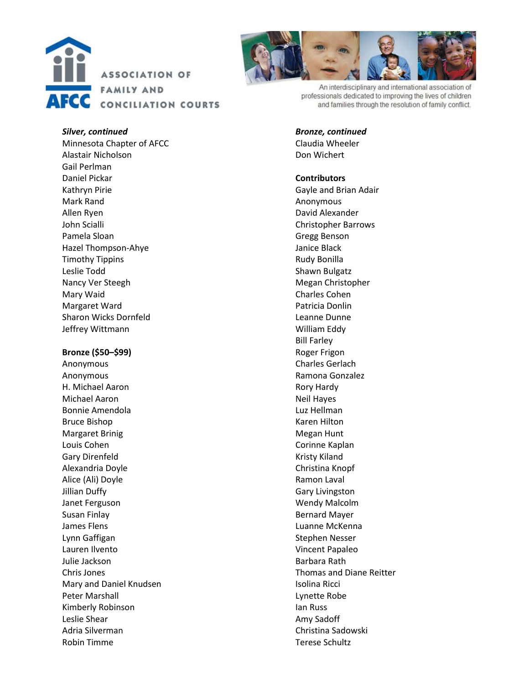



An interdisciplinary and international association of professionals dedicated to improving the lives of children and families through the resolution of family conflict.

#### *Silver, continued*

Minnesota Chapter of AFCC Alastair Nicholson Gail Perlman Daniel Pickar Kathryn Pirie Mark Rand Allen Ryen John Scialli Pamela Sloan Hazel Thompson -Ahye Timothy Tippin s Leslie Todd Nancy Ver Steegh Mary Waid Margaret Ward Sharon Wicks Dornfeld Jeffrey Wittmann

#### **Bronze (\$50 –\$99)**

Anonymous Anonymous H. Michael Aaron Michael Aaron Bonnie Amendola Bruce Bishop Margaret Brinig Louis Cohen Gary Direnfeld Alexandria Doyle Alice (Ali) Doyle Jillian Duffy Janet Ferguson Susan Finlay James Flens Lynn Gaffigan Lauren Ilvento Julie Jackson Chris Jones Mary and Daniel Knudsen Peter Marshall Kimberly Robinson Leslie Shear Adria Silverman Robin Timme

#### *Bronze, continued*

Claudia Wheeler Don Wichert

#### **Contributor s**

Gayle and Brian Adair Anonymous David Alexander Christopher Barrows Gregg Benson Janice Black Rudy Bonilla Shawn Bulgatz Megan Christopher Charles Cohen Patricia Donlin Leanne Dunne William Eddy Bill Farley Roger Frigon Charles Gerlach Ramona Gonzalez Rory Hardy Neil Hayes Luz Hellman Karen Hilton Megan Hunt Corinne Kaplan Kristy Kiland Christina Knopf Ramon Laval Gary Livingston Wendy Malcolm Bernard Mayer Luanne McKenna Stephen Nesser Vincent Papaleo Barbara Rath Thomas and Diane Reitter Isolina Ricci Lynette Robe Ian Russ Amy Sadoff Christina Sadowski Terese Schultz